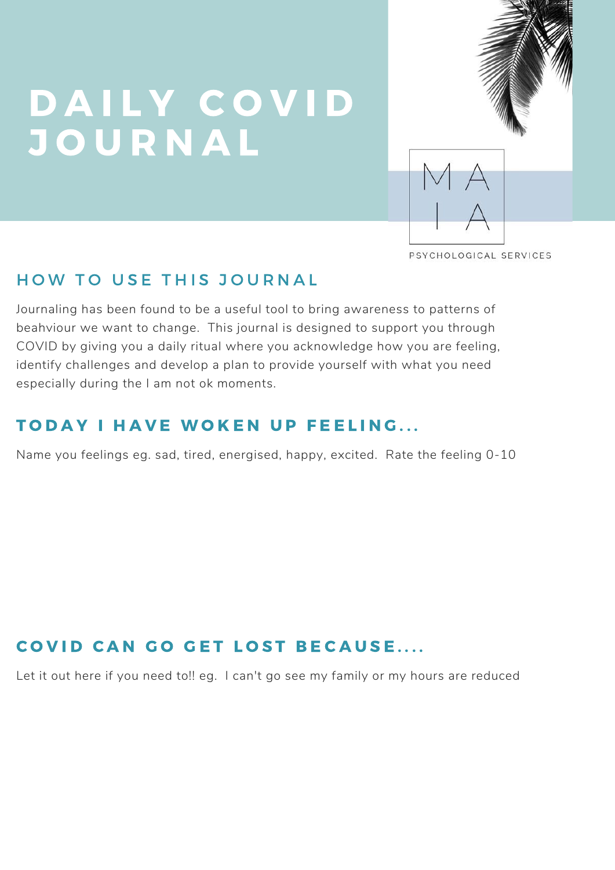# D A I L Y C O V I D J O U R N A L



PSYCHOLOGICAL SERVICES

### HOW TO USE THIS JOURNAL

Journaling has been found to be a useful tool to bring awareness to patterns of beahviour we want to change. This journal is designed to support you through COVID by giving you a daily ritual where you acknowledge how you are feeling, identify challenges and develop a plan to provide yourself with what you need especially during the I am not ok moments.

#### TODAY I HAVE WOKEN UP FEELING...

Name you feelings eg. sad, tired, energised, happy, excited. Rate the feeling 0-10

### COVID CAN GO GET LOST BECAUSE....

Let it out here if you need to!! eg. I can't go see my family or my hours are reduced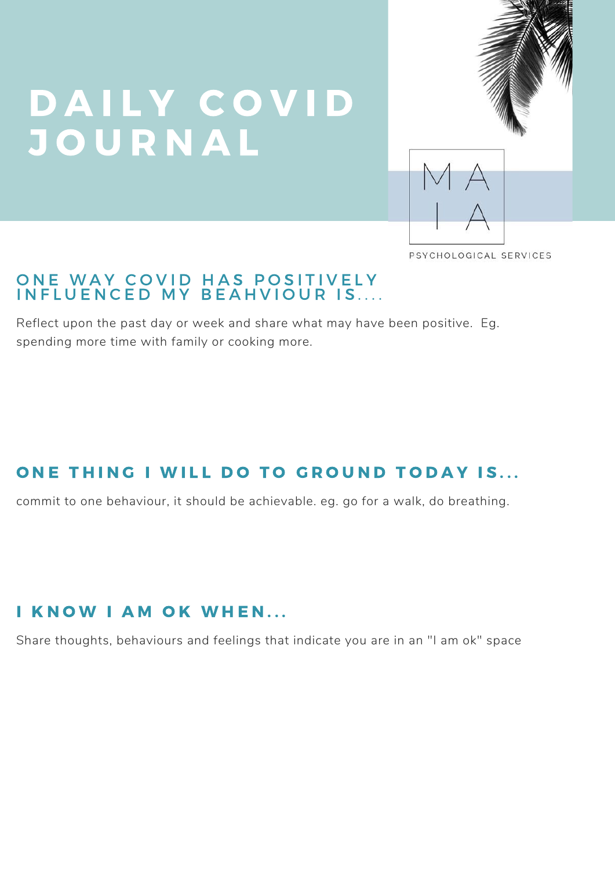# D A I L Y C O V I D J O U R N A L



PSYCHOLOGICAL SERVICES

#### ONE WAY COVID HAS POSITIVELY INFLUENCED MY BEAHVIOUR IS....

Project Takedown v1 Reflect upon the past day or week and share what may have been positive. Eg.<br>... spending more time with family or cooking more.

### ONE THING I WILL DO TO GROUND TODAY IS...

commit to one behaviour, it should be achievable. eg. go for a walk, do breathing.

#### I KNOW I AM OK WHEN...

Share thoughts, behaviours and feelings that indicate you are in an "I am ok" space